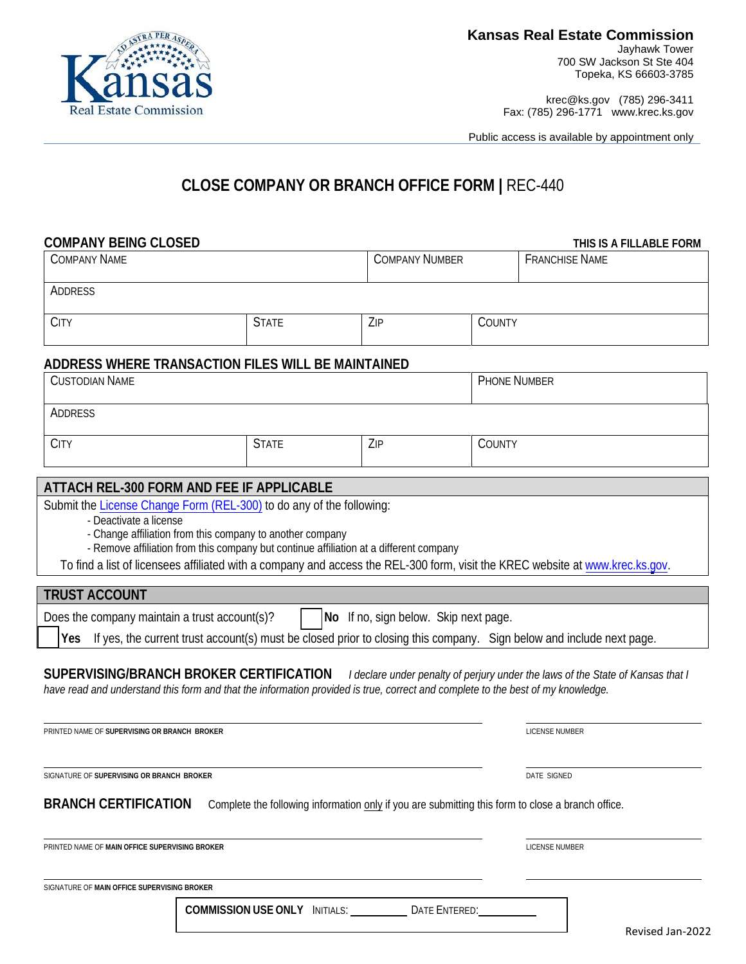

700 SW Jackson St Ste 404 Topeka, KS 66603-3785

krec@ks.gov (785) 296-3411 Fax: (785) 296-1771 www.krec.ks.gov

Public access is available by appointment only

# **CLOSE COMPANY OR BRANCH OFFICE FORM |** REC-440

| <b>COMPANY BEING CLOSED</b>                           |                                                                                                                                                                            |                                       |               | THIS IS A FILLABLE FORM                                                                                                       |
|-------------------------------------------------------|----------------------------------------------------------------------------------------------------------------------------------------------------------------------------|---------------------------------------|---------------|-------------------------------------------------------------------------------------------------------------------------------|
| <b>COMPANY NAME</b>                                   |                                                                                                                                                                            | <b>COMPANY NUMBER</b>                 |               | <b>FRANCHISE NAME</b>                                                                                                         |
| ADDRESS                                               |                                                                                                                                                                            |                                       |               |                                                                                                                               |
| <b>CITY</b>                                           | <b>STATE</b>                                                                                                                                                               | ZIP                                   | COUNTY        |                                                                                                                               |
|                                                       | ADDRESS WHERE TRANSACTION FILES WILL BE MAINTAINED                                                                                                                         |                                       |               |                                                                                                                               |
| <b>CUSTODIAN NAME</b>                                 |                                                                                                                                                                            |                                       |               | <b>PHONE NUMBER</b>                                                                                                           |
| ADDRESS                                               |                                                                                                                                                                            |                                       |               |                                                                                                                               |
| <b>CITY</b>                                           | <b>STATE</b>                                                                                                                                                               | ZIP                                   | COUNTY        |                                                                                                                               |
|                                                       | ATTACH REL-300 FORM AND FEE IF APPLICABLE                                                                                                                                  |                                       |               |                                                                                                                               |
| <b>TRUST ACCOUNT</b>                                  | - Change affiliation from this company to another company<br>- Remove affiliation from this company but continue affiliation at a different company                        |                                       |               | To find a list of licensees affiliated with a company and access the REL-300 form, visit the KREC website at www.krec.ks.gov. |
| Does the company maintain a trust account(s)?         |                                                                                                                                                                            | No If no, sign below. Skip next page. |               |                                                                                                                               |
| Yes                                                   | If yes, the current trust account(s) must be closed prior to closing this company. Sign below and include next page.                                                       |                                       |               |                                                                                                                               |
|                                                       | SUPERVISING/BRANCH BROKER CERTIFICATION<br>have read and understand this form and that the information provided is true, correct and complete to the best of my knowledge. |                                       |               | I declare under penalty of perjury under the laws of the State of Kansas that I                                               |
| PRINTED NAME OF SUPERVISING OR BRANCH BROKER          |                                                                                                                                                                            |                                       |               | <b>LICENSE NUMBER</b>                                                                                                         |
| SIGNATURE OF SUPERVISING OR BRANCH BROKER             |                                                                                                                                                                            |                                       |               | <b>DATE SIGNED</b>                                                                                                            |
| <b>BRANCH CERTIFICATION</b>                           | Complete the following information only if you are submitting this form to close a branch office.                                                                          |                                       |               |                                                                                                                               |
| PRINTED NAME OF <b>MAIN OFFICE SUPERVISING BROKER</b> |                                                                                                                                                                            |                                       |               | LICENSE NUMBER                                                                                                                |
| SIGNATURE OF MAIN OFFICE SUPERVISING BROKER           |                                                                                                                                                                            |                                       |               |                                                                                                                               |
|                                                       | <b>COMMISSION USE ONLY INITIALS:</b>                                                                                                                                       |                                       | DATE ENTERED: |                                                                                                                               |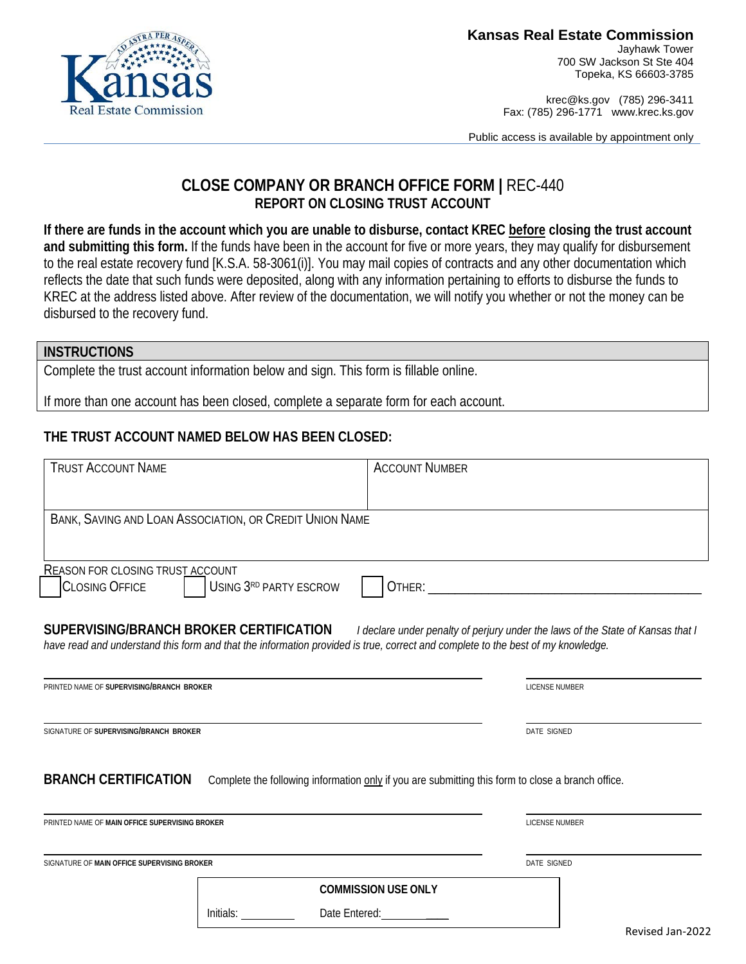

700 SW Jackson St Ste 404 Topeka, KS 66603-3785

krec@ks.gov (785) 296-3411 Fax: (785) 296-1771 www.krec.ks.gov

Public access is available by appointment only

## **CLOSE COMPANY OR BRANCH OFFICE FORM |** REC-440 **REPORT ON CLOSING TRUST ACCOUNT**

**If there are funds in the account which you are unable to disburse, contact KREC before closing the trust account and submitting this form.** If the funds have been in the account for five or more years, they may qualify for disbursement to the real estate recovery fund [K.S.A. 58-3061(i)]. You may mail copies of contracts and any other documentation which reflects the date that such funds were deposited, along with any information pertaining to efforts to disburse the funds to KREC at the address listed above. After review of the documentation, we will notify you whether or not the money can be disbursed to the recovery fund.

#### **INSTRUCTIONS**

Complete the trust account information below and sign. This form is fillable online.

If more than one account has been closed, complete a separate form for each account.

## **THE TRUST ACCOUNT NAMED BELOW HAS BEEN CLOSED:**

| <b>TRUST ACCOUNT NAME</b>                                        |                                                                                                                                 | <b>ACCOUNT NUMBER</b>      |                                                                                 |
|------------------------------------------------------------------|---------------------------------------------------------------------------------------------------------------------------------|----------------------------|---------------------------------------------------------------------------------|
|                                                                  |                                                                                                                                 |                            |                                                                                 |
|                                                                  | BANK, SAVING AND LOAN ASSOCIATION, OR CREDIT UNION NAME                                                                         |                            |                                                                                 |
|                                                                  |                                                                                                                                 |                            |                                                                                 |
| <b>REASON FOR CLOSING TRUST ACCOUNT</b><br><b>CLOSING OFFICE</b> | USING 3RD PARTY ESCROW                                                                                                          |                            |                                                                                 |
| SUPERVISING/BRANCH BROKER CERTIFICATION                          | have read and understand this form and that the information provided is true, correct and complete to the best of my knowledge. |                            | I declare under penalty of perjury under the laws of the State of Kansas that I |
| PRINTED NAME OF SUPERVISING/BRANCH BROKER                        |                                                                                                                                 |                            | <b>LICENSE NUMBER</b>                                                           |
| SIGNATURE OF SUPERVISING/BRANCH BROKER                           |                                                                                                                                 |                            | DATE SIGNED                                                                     |
| <b>BRANCH CERTIFICATION</b>                                      | Complete the following information only if you are submitting this form to close a branch office.                               |                            |                                                                                 |
| PRINTED NAME OF MAIN OFFICE SUPERVISING BROKER                   |                                                                                                                                 |                            | <b>LICENSE NUMBER</b>                                                           |
|                                                                  |                                                                                                                                 |                            |                                                                                 |
| SIGNATURE OF MAIN OFFICE SUPERVISING BROKER                      |                                                                                                                                 |                            | DATE SIGNED                                                                     |
|                                                                  |                                                                                                                                 | <b>COMMISSION USE ONLY</b> |                                                                                 |
|                                                                  | Date Entered:<br>Initials:                                                                                                      |                            | $\cdot$ $\cdot$ $\cdot$ $\cdot$ $\cdot$ $\cdot$                                 |